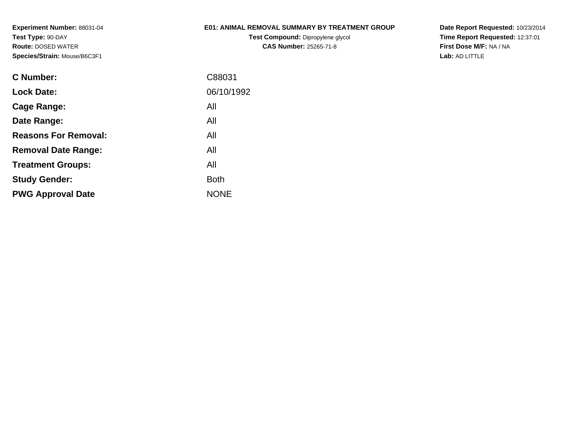# **E01: ANIMAL REMOVAL SUMMARY BY TREATMENT GROUP**

**Test Compound:** Dipropylene glycol **CAS Number:** 25265-71-8

**Date Report Requested:** 10/23/2014 **Time Report Requested:** 12:37:01**First Dose M/F:** NA / NA**Lab:** AD LITTLE

| <b>C</b> Number:            | C88031      |
|-----------------------------|-------------|
| <b>Lock Date:</b>           | 06/10/1992  |
| Cage Range:                 | All         |
| Date Range:                 | All         |
| <b>Reasons For Removal:</b> | All         |
| <b>Removal Date Range:</b>  | All         |
| <b>Treatment Groups:</b>    | All         |
| <b>Study Gender:</b>        | <b>Both</b> |
| <b>PWG Approval Date</b>    | <b>NONE</b> |
|                             |             |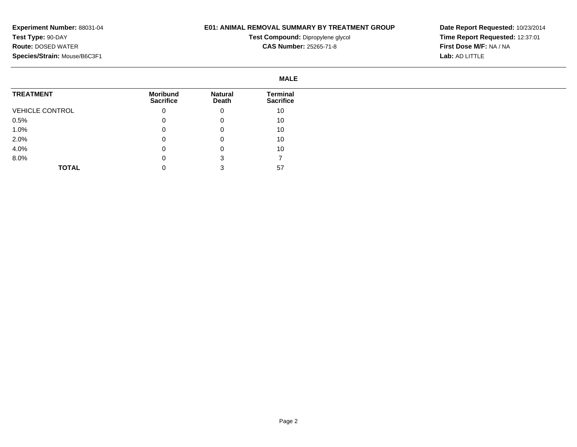#### **E01: ANIMAL REMOVAL SUMMARY BY TREATMENT GROUP**

**Test Compound:** Dipropylene glycol **CAS Number:** 25265-71-8

|                        | <b>MALE</b>                         |                         |                                     |
|------------------------|-------------------------------------|-------------------------|-------------------------------------|
| <b>TREATMENT</b>       | <b>Moribund</b><br><b>Sacrifice</b> | <b>Natural</b><br>Death | <b>Terminal</b><br><b>Sacrifice</b> |
| <b>VEHICLE CONTROL</b> | 0                                   | 0                       | 10                                  |
| 0.5%                   | 0                                   | 0                       | 10                                  |
| 1.0%                   | 0                                   | 0                       | 10                                  |
| 2.0%                   | 0                                   | 0                       | 10                                  |
| 4.0%                   |                                     | 0                       | 10                                  |
| 8.0%                   |                                     | 3                       |                                     |
| <b>TOTAL</b>           |                                     |                         | 57                                  |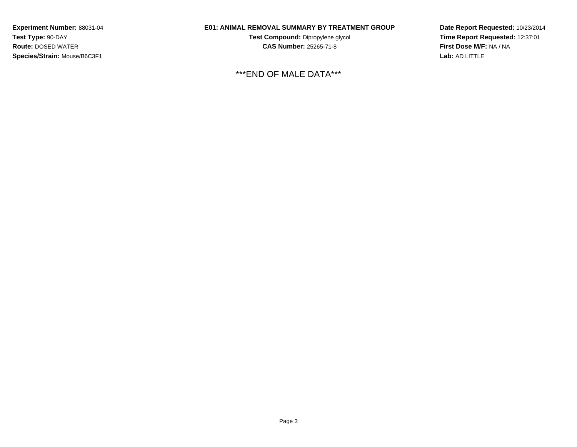# **E01: ANIMAL REMOVAL SUMMARY BY TREATMENT GROUP**

**Test Compound:** Dipropylene glycol **CAS Number:** 25265-71-8

\*\*\*END OF MALE DATA\*\*\*

**Date Report Requested:** 10/23/2014**Time Report Requested:** 12:37:01**First Dose M/F:** NA / NA**Lab:** AD LITTLE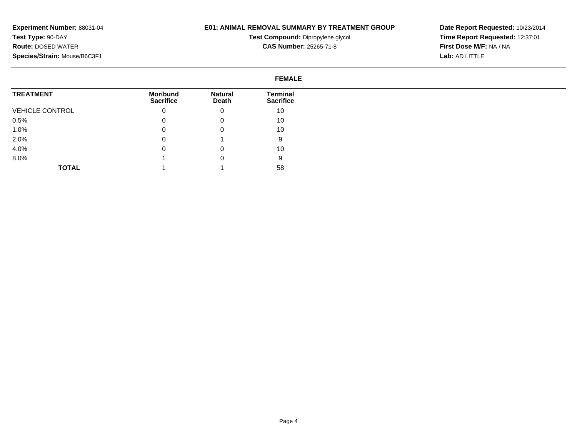# **E01: ANIMAL REMOVAL SUMMARY BY TREATMENT GROUP**

**Test Compound:** Dipropylene glycol **CAS Number:** 25265-71-8

**Date Report Requested:** 10/23/2014**Time Report Requested:** 12:37:01**First Dose M/F:** NA / NA**Lab:** AD LITTLE

#### **FEMALETREATMENT**VEHICLE CONTROL0.5% 1.0% 2.0% 4.0% 8.0%**TOTALMoribund Sacrifice**0 $\overline{0}$  $\overline{0}$  0 $\overline{0}$  1 1**Natural Death**0 0 0 1 0 0 1**Terminal Sacrifice**10 10 10 9 10 958